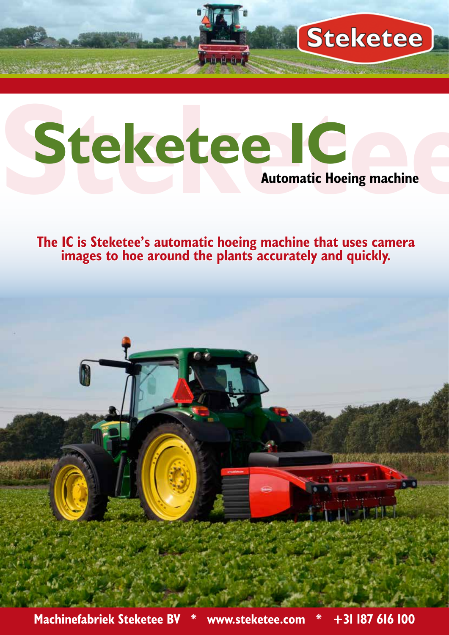

**Created L** 

**Steketee** 

**The IC is Steketee's automatic hoeing machine that uses camera images to hoe around the plants accurately and quickly.** 

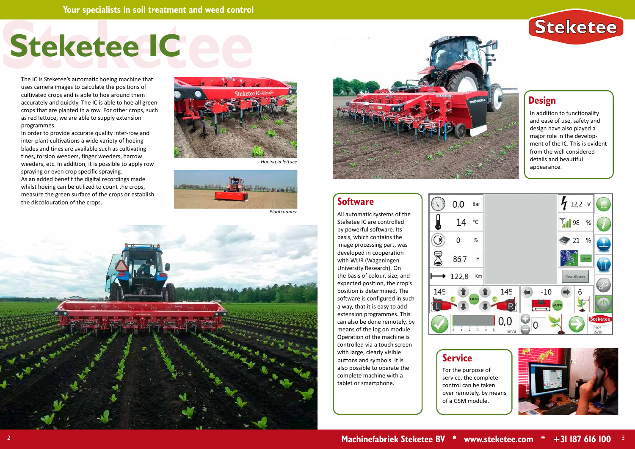# Steketee ICe **Steketee IC**



The IC is Steketee's automatic hoeing machine that uses camera images to calculate the positions of cultivated crops and is able to hoe around them accurately and quickly. The IC is able to hoe all green crops that are planted in a row. For other crops, such as red lettuce, we are able to supply extension programmes.

In order to provide accurate quality inter-row and inter-plant cultivations a wide variety of hoeing blades and tines are available such as cultivating tines, torsion weeders, finger weeders, harrow weeders, etc. In addition, it is possible to apply row spraying or even crop specific spraying. As an added benefit the digital recordings made whilst hoeing can be utilized to count the crops, measure the green surface of the crops or establish the discolouration of the crops.



*Hoeing in lettuce*









In addition to functionality and ease of use, safety and design have also played a major role in the development of the IC. This is evident from the well considered details and beautiful appearance.



## **Design**

For the purpose of service, the complete control can be taken over remotely, by means of a GSM module.

### **Service**

All automatic systems of the Steketee IC are controlled by powerful software. Its basis, which contains the image processing part, was developed in cooperation with WUR (Wageningen University Research). On the basis of colour, size, and expected position, the crop's position is determined. The software is configured in such a way, that it is easy to add extension programmes. This can also be done remotely, by means of the log on module. Operation of the machine is controlled via a touch screen with large, clearly visible buttons and symbols. It is also possible to operate the complete machine with a tablet or smartphone.



### **Software**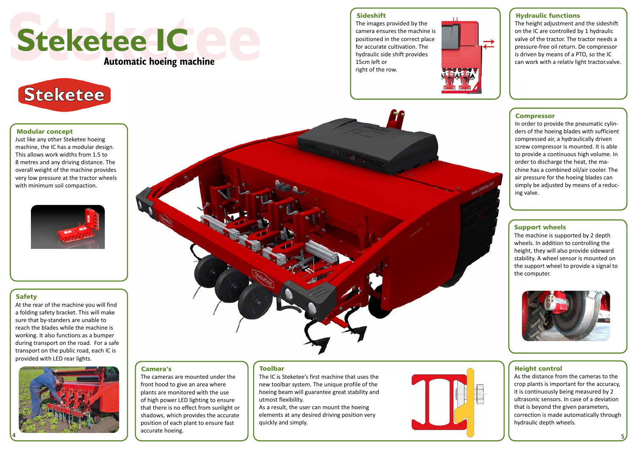

#### Modular concept

Just like any other Steketee hoeing machine, the IC has a modular design. This allows work widths from 1.5 to 8 metres and any driving distance. The overall weight of the machine provides very low pressure at the tractor wheels with minimum soil compaction.



#### Camera's

The cameras are mounted under the front hood to give an area where plants are monitored with the use of high power LED lighting to ensure that there is no effect from sunlight or shadows, which provides the accurate position of each plant to ensure fast accurate hoeing.

#### **Sideshift**

#### Safety

At the rear of the machine you will find a folding safety bracket. This will make sure that by-standers are unable to reach the blades while the machine is working. It also functions as a bumper during transport on the road. For a safe transport on the public road, each IC is provided with LED rear lights.

#### Compressor



# **Steketee**

In order to provide the pneumatic cylinders of the hoeing blades with sufficient compressed air, a hydraulically driven screw compressor is mounted. It is able to provide a continuous high volume. In order to discharge the heat, the machine has a combined oil/air cooler. The air pressure for the hoeing blades can simply be adjusted by means of a reducing valve.

#### Hydraulic functions

The height adjustment and the sideshift on the IC are controlled by 1 hydraulic valve of the tractor. The tractor needs a pressure-free oil return. De compressor is driven by means of a PTO, so the IC can work with a relativ light tractor.valve.

#### Support wheels

The machine is supported by 2 depth wheels. In addition to controlling the height, they will also provide sideward stability. A wheel sensor is mounted on the support wheel to provide a signal to the computer.



#### Height control

As the distance from the cameras to the crop plants is important for the accuracy, it is continuously being measured by 2 ultrasonic sensors. In case of a deviation that is beyond the given parameters, correction is made automatically through hydraulic depth wheels.

The images provided by the camera ensures the machine is positioned in the correct place for accurate cultivation. The hydraulic side shift provides 15cm left or right of the row.



# Toolbar

The IC is Steketee's first machine that uses the new toolbar system. The unique profile of the hoeing beam will guarantee great stability and utmost flexibility.

As a result, the user can mount the hoeing elements at any desired driving position very quickly and simply.



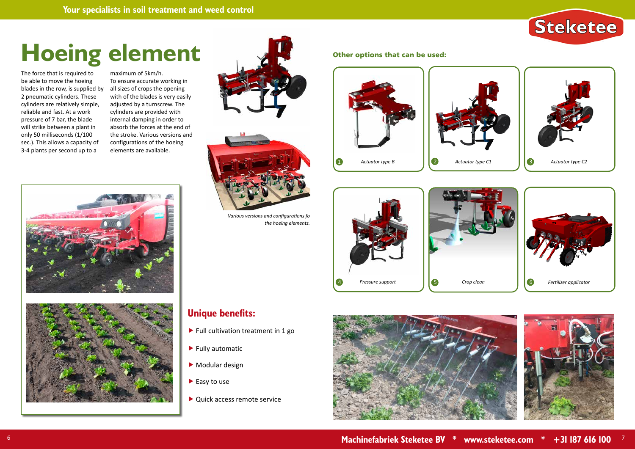6 7 **Machinefabriek Steketee BV \* www.steketee.com \* +31 187 616 100**

The force that is required to be able to move the hoeing blades in the row, is supplied by 2 pneumatic cylinders. These cylinders are relatively simple, reliable and fast. At a work pressure of 7 bar, the blade will strike between a plant in only 50 milliseconds (1/100 sec.). This allows a capacity of 3-4 plants per second up to a

#### maximum of 5km/h. To ensure accurate working in















all sizes of crops the opening with of the blades is very easily adjusted by a turnscrew. The cylinders are provided with internal damping in order to absorb the forces at the end of the stroke. Various versions and configurations of the hoeing elements are available.



# **Hoeing element**



*Various versions and configurations fo the hoeing elements.*

## **Unique benefits:**

- $\blacktriangleright$  Full cultivation treatment in 1 go
- $\blacktriangleright$  Fully automatic
- Modular design
- $\blacktriangleright$  Easy to use
- ▶ Quick access remote service

#### Other options that can be used: